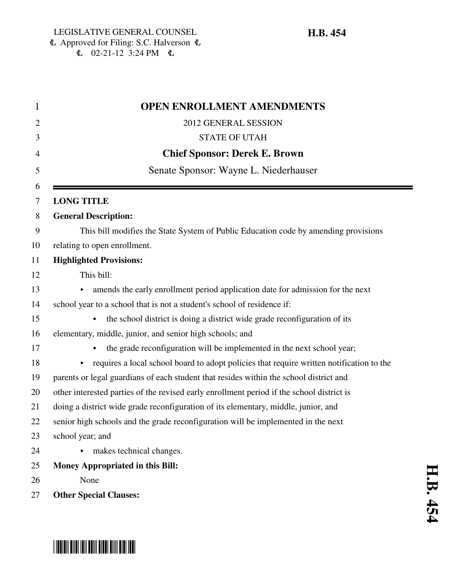| <b>OPEN ENROLLMENT AMENDMENTS</b>                                                         |
|-------------------------------------------------------------------------------------------|
| 2012 GENERAL SESSION                                                                      |
| <b>STATE OF UTAH</b>                                                                      |
| <b>Chief Sponsor: Derek E. Brown</b>                                                      |
| Senate Sponsor: Wayne L. Niederhauser                                                     |
| <b>LONG TITLE</b>                                                                         |
| <b>General Description:</b>                                                               |
| This bill modifies the State System of Public Education code by amending provisions       |
| relating to open enrollment.                                                              |
| <b>Highlighted Provisions:</b>                                                            |
| This bill:                                                                                |
| amends the early enrollment period application date for admission for the next            |
| school year to a school that is not a student's school of residence if:                   |
| the school district is doing a district wide grade reconfiguration of its                 |
| elementary, middle, junior, and senior high schools; and                                  |
| the grade reconfiguration will be implemented in the next school year;<br>$\bullet$       |
| requires a local school board to adopt policies that require written notification to the  |
| parents or legal guardians of each student that resides within the school district and    |
| other interested parties of the revised early enrollment period if the school district is |
| doing a district wide grade reconfiguration of its elementary, middle, junior, and        |
| senior high schools and the grade reconfiguration will be implemented in the next         |
| school year; and                                                                          |
| makes technical changes.                                                                  |
| Money Appropriated in this Bill:                                                          |
| None                                                                                      |
| <b>Other Special Clauses:</b>                                                             |

# \*HB0454\*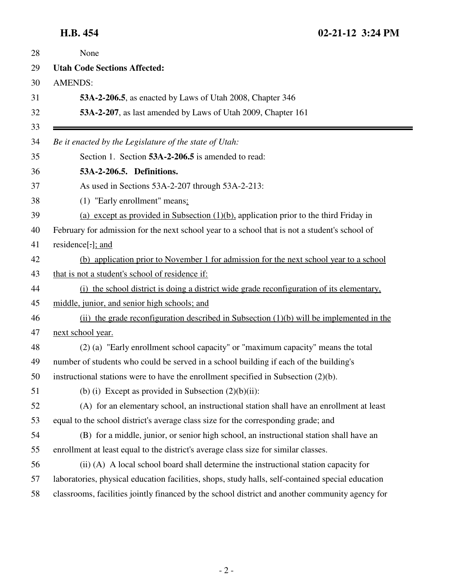| None                                                                                              |
|---------------------------------------------------------------------------------------------------|
| <b>Utah Code Sections Affected:</b>                                                               |
| <b>AMENDS:</b>                                                                                    |
| 53A-2-206.5, as enacted by Laws of Utah 2008, Chapter 346                                         |
| 53A-2-207, as last amended by Laws of Utah 2009, Chapter 161                                      |
| Be it enacted by the Legislature of the state of Utah:                                            |
| Section 1. Section 53A-2-206.5 is amended to read:                                                |
| 53A-2-206.5. Definitions.                                                                         |
| As used in Sections 53A-2-207 through 53A-2-213:                                                  |
| (1) "Early enrollment" means:                                                                     |
| (a) except as provided in Subsection $(1)(b)$ , application prior to the third Friday in          |
| February for admission for the next school year to a school that is not a student's school of     |
| residence[:]; and                                                                                 |
| (b) application prior to November 1 for admission for the next school year to a school            |
| that is not a student's school of residence if:                                                   |
| (i) the school district is doing a district wide grade reconfiguration of its elementary,         |
| middle, junior, and senior high schools; and                                                      |
| (ii) the grade reconfiguration described in Subsection $(1)(b)$ will be implemented in the        |
| next school year.                                                                                 |
| (2) (a) "Early enrollment school capacity" or "maximum capacity" means the total                  |
| number of students who could be served in a school building if each of the building's             |
| instructional stations were to have the enrollment specified in Subsection (2)(b).                |
| (b) (i) Except as provided in Subsection $(2)(b)(ii)$ :                                           |
| (A) for an elementary school, an instructional station shall have an enrollment at least          |
| equal to the school district's average class size for the corresponding grade; and                |
| (B) for a middle, junior, or senior high school, an instructional station shall have an           |
| enrollment at least equal to the district's average class size for similar classes.               |
| (ii) (A) A local school board shall determine the instructional station capacity for              |
| laboratories, physical education facilities, shops, study halls, self-contained special education |
| classrooms, facilities jointly financed by the school district and another community agency for   |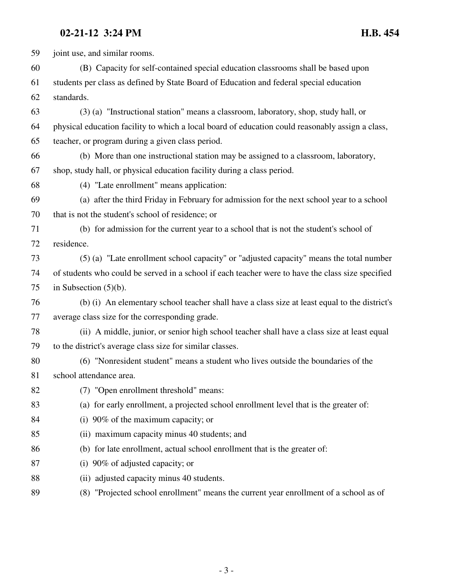### **02-21-12 3:24 PM H.B. 454**

59 joint use, and similar rooms. 60 (B) Capacity for self-contained special education classrooms shall be based upon 61 students per class as defined by State Board of Education and federal special education 62 standards. 63 (3) (a) "Instructional station" means a classroom, laboratory, shop, study hall, or 64 physical education facility to which a local board of education could reasonably assign a class, 65 teacher, or program during a given class period. 66 (b) More than one instructional station may be assigned to a classroom, laboratory, 67 shop, study hall, or physical education facility during a class period. 68 (4) "Late enrollment" means application: 69 (a) after the third Friday in February for admission for the next school year to a school 70 that is not the student's school of residence; or 71 (b) for admission for the current year to a school that is not the student's school of 72 residence. 73 (5) (a) "Late enrollment school capacity" or "adjusted capacity" means the total number 74 of students who could be served in a school if each teacher were to have the class size specified 75 in Subsection (5)(b). 76 (b) (i) An elementary school teacher shall have a class size at least equal to the district's 77 average class size for the corresponding grade. 78 (ii) A middle, junior, or senior high school teacher shall have a class size at least equal 79 to the district's average class size for similar classes. 80 (6) "Nonresident student" means a student who lives outside the boundaries of the 81 school attendance area. 82 (7) "Open enrollment threshold" means: 83 (a) for early enrollment, a projected school enrollment level that is the greater of: 84 (i) 90% of the maximum capacity; or 85 (ii) maximum capacity minus 40 students; and 86 (b) for late enrollment, actual school enrollment that is the greater of: 87 (i) 90% of adjusted capacity; or 88 (ii) adjusted capacity minus 40 students. 89 (8) "Projected school enrollment" means the current year enrollment of a school as of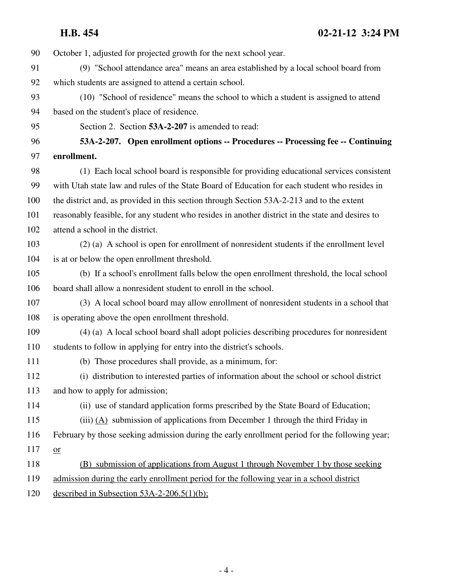| 90  | October 1, adjusted for projected growth for the next school year.                               |
|-----|--------------------------------------------------------------------------------------------------|
| 91  | (9) "School attendance area" means an area established by a local school board from              |
| 92  | which students are assigned to attend a certain school.                                          |
| 93  | (10) "School of residence" means the school to which a student is assigned to attend             |
| 94  | based on the student's place of residence.                                                       |
| 95  | Section 2. Section 53A-2-207 is amended to read:                                                 |
| 96  | 53A-2-207. Open enrollment options -- Procedures -- Processing fee -- Continuing                 |
| 97  | enrollment.                                                                                      |
| 98  | (1) Each local school board is responsible for providing educational services consistent         |
| 99  | with Utah state law and rules of the State Board of Education for each student who resides in    |
| 100 | the district and, as provided in this section through Section 53A-2-213 and to the extent        |
| 101 | reasonably feasible, for any student who resides in another district in the state and desires to |
| 102 | attend a school in the district.                                                                 |
| 103 | (2) (a) A school is open for enrollment of nonresident students if the enrollment level          |
| 104 | is at or below the open enrollment threshold.                                                    |
| 105 | (b) If a school's enrollment falls below the open enrollment threshold, the local school         |
| 106 | board shall allow a nonresident student to enroll in the school.                                 |
| 107 | (3) A local school board may allow enrollment of nonresident students in a school that           |
| 108 | is operating above the open enrollment threshold.                                                |
| 109 | (4) (a) A local school board shall adopt policies describing procedures for nonresident          |
| 110 | students to follow in applying for entry into the district's schools.                            |
| 111 | (b) Those procedures shall provide, as a minimum, for:                                           |
| 112 | (i) distribution to interested parties of information about the school or school district        |
| 113 | and how to apply for admission;                                                                  |
| 114 | (ii) use of standard application forms prescribed by the State Board of Education;               |
| 115 | (iii) $(A)$ submission of applications from December 1 through the third Friday in               |
| 116 | February by those seeking admission during the early enrollment period for the following year;   |
| 117 | $or$                                                                                             |
| 118 | (B) submission of applications from August 1 through November 1 by those seeking                 |
| 119 | admission during the early enrollment period for the following year in a school district         |
| 120 | described in Subsection $53A-2-206.5(1)(b)$ ;                                                    |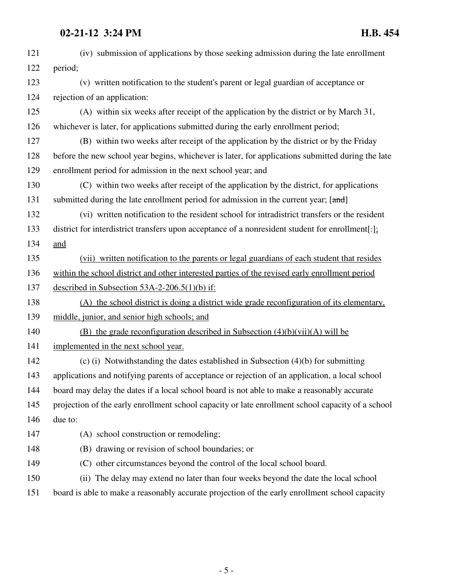## **02-21-12 3:24 PM H.B. 454**

| 121 | (iv) submission of applications by those seeking admission during the late enrollment             |
|-----|---------------------------------------------------------------------------------------------------|
| 122 | period;                                                                                           |
| 123 | (v) written notification to the student's parent or legal guardian of acceptance or               |
| 124 | rejection of an application:                                                                      |
| 125 | (A) within six weeks after receipt of the application by the district or by March 31,             |
| 126 | whichever is later, for applications submitted during the early enrollment period;                |
| 127 | (B) within two weeks after receipt of the application by the district or by the Friday            |
| 128 | before the new school year begins, whichever is later, for applications submitted during the late |
| 129 | enrollment period for admission in the next school year; and                                      |
| 130 | (C) within two weeks after receipt of the application by the district, for applications           |
| 131 | submitted during the late enrollment period for admission in the current year; [and]              |
| 132 | (vi) written notification to the resident school for intradistrict transfers or the resident      |
| 133 | district for interdistrict transfers upon acceptance of a nonresident student for enrollment[:];  |
| 134 | and                                                                                               |
| 135 | (vii) written notification to the parents or legal guardians of each student that resides         |
| 136 | within the school district and other interested parties of the revised early enrollment period    |
| 137 | described in Subsection $53A-2-206.5(1)(b)$ if:                                                   |
| 138 | (A) the school district is doing a district wide grade reconfiguration of its elementary,         |
| 139 | middle, junior, and senior high schools; and                                                      |
| 140 | (B) the grade reconfiguration described in Subsection $(4)(b)(vii)(A)$ will be                    |
| 141 | implemented in the next school year.                                                              |
| 142 | (c) (i) Notwithstanding the dates established in Subsection $(4)(b)$ for submitting               |
| 143 | applications and notifying parents of acceptance or rejection of an application, a local school   |
| 144 | board may delay the dates if a local school board is not able to make a reasonably accurate       |
| 145 | projection of the early enrollment school capacity or late enrollment school capacity of a school |
| 146 | due to:                                                                                           |
| 147 | (A) school construction or remodeling;                                                            |
| 148 | (B) drawing or revision of school boundaries; or                                                  |
| 149 | (C) other circumstances beyond the control of the local school board.                             |
| 150 | (ii) The delay may extend no later than four weeks beyond the date the local school               |
| 151 | board is able to make a reasonably accurate projection of the early enrollment school capacity    |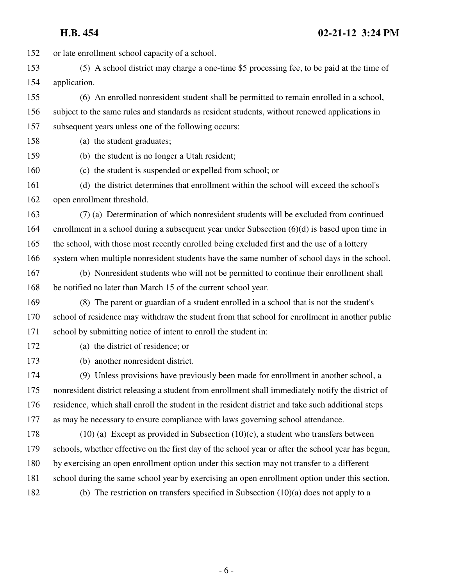### **H.B. 454 02-21-12 3:24 PM**

152 or late enrollment school capacity of a school. 153 (5) A school district may charge a one-time \$5 processing fee, to be paid at the time of 154 application. 155 (6) An enrolled nonresident student shall be permitted to remain enrolled in a school, 156 subject to the same rules and standards as resident students, without renewed applications in 157 subsequent years unless one of the following occurs: 158 (a) the student graduates; 159 (b) the student is no longer a Utah resident; 160 (c) the student is suspended or expelled from school; or 161 (d) the district determines that enrollment within the school will exceed the school's 162 open enrollment threshold. 163 (7) (a) Determination of which nonresident students will be excluded from continued 164 enrollment in a school during a subsequent year under Subsection (6)(d) is based upon time in 165 the school, with those most recently enrolled being excluded first and the use of a lottery 166 system when multiple nonresident students have the same number of school days in the school. 167 (b) Nonresident students who will not be permitted to continue their enrollment shall 168 be notified no later than March 15 of the current school year. 169 (8) The parent or guardian of a student enrolled in a school that is not the student's 170 school of residence may withdraw the student from that school for enrollment in another public 171 school by submitting notice of intent to enroll the student in: 172 (a) the district of residence; or 173 (b) another nonresident district. 174 (9) Unless provisions have previously been made for enrollment in another school, a 175 nonresident district releasing a student from enrollment shall immediately notify the district of 176 residence, which shall enroll the student in the resident district and take such additional steps 177 as may be necessary to ensure compliance with laws governing school attendance. 178 (10) (a) Except as provided in Subsection (10)(c), a student who transfers between 179 schools, whether effective on the first day of the school year or after the school year has begun, 180 by exercising an open enrollment option under this section may not transfer to a different 181 school during the same school year by exercising an open enrollment option under this section. 182 (b) The restriction on transfers specified in Subsection (10)(a) does not apply to a